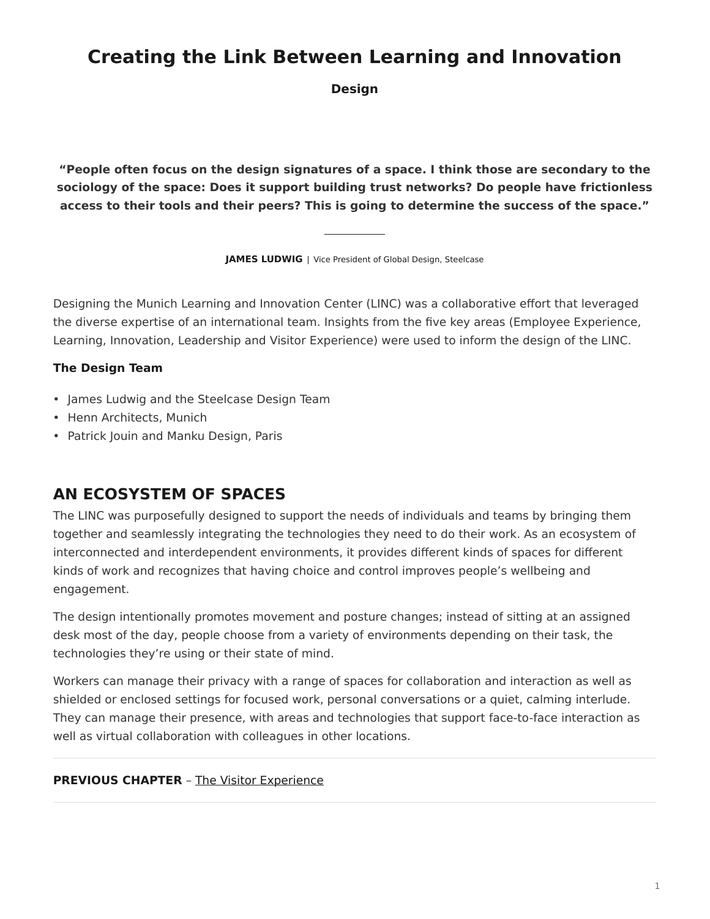# <span id="page-0-0"></span>**Creating the Link Between Learning and Innovation**

**Design**

**"People often focus on the design signatures of a space. I think those are secondary to the sociology of the space: Does it support building trust networks? Do people have frictionless access to their tools and their peers? This is going to determine the success of the space."**

**JAMES LUDWIG** | Vice President of Global Design, Steelcase

Designing the Munich Learning and Innovation Center (LINC) was a collaborative effort that leveraged the diverse expertise of an international team. Insights from the five key areas (Employee Experience, Learning, Innovation, Leadership and Visitor Experience) were used to inform the design of the LINC.

#### **The Design Team**

- James Ludwig and the Steelcase Design Team
- Henn Architects, Munich
- Patrick Jouin and Manku Design, Paris

## **AN ECOSYSTEM OF SPACES**

The LINC was purposefully designed to support the needs of individuals and teams by bringing them together and seamlessly integrating the technologies they need to do their work. As an ecosystem of interconnected and interdependent environments, it provides different kinds of spaces for different kinds of work and recognizes that having choice and control improves people's wellbeing and engagement.

The design intentionally promotes movement and posture changes; instead of sitting at an assigned desk most of the day, people choose from a variety of environments depending on their task, the technologies they're using or their state of mind.

Workers can manage their privacy with a range of spaces for collaboration and interaction as well as shielded or enclosed settings for focused work, personal conversations or a quiet, calming interlude. They can manage their presence, with areas and technologies that support face-to-face interaction as well as virtual collaboration with colleagues in other locations.

#### **PREVIOUS CHAPTER** – [The Visitor Experience](https://www.steelcase.com/research/articles/creating-link-learning-innovation-visitor-experience/)